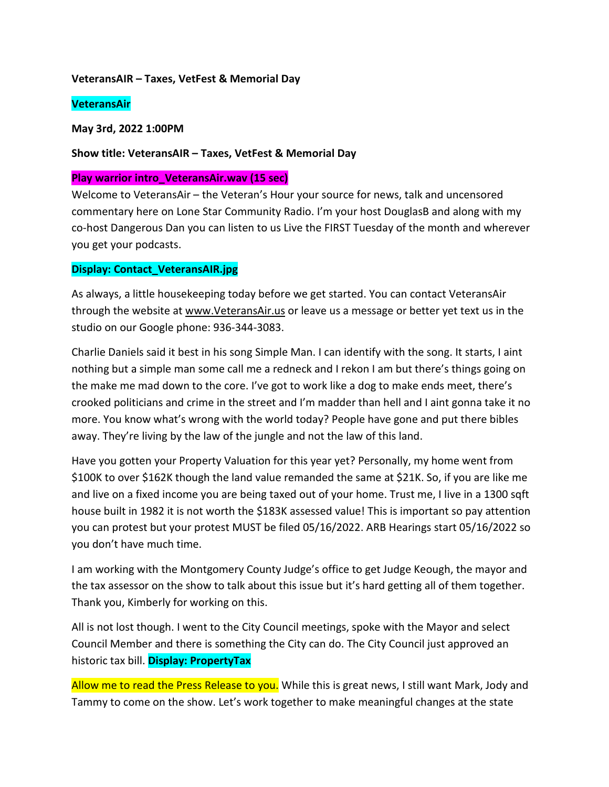#### **VeteransAIR – Taxes, VetFest & Memorial Day**

#### **VeteransAir**

**May 3rd, 2022 1:00PM** 

#### **Show title: VeteransAIR – Taxes, VetFest & Memorial Day**

#### **Play warrior intro\_VeteransAir.wav (15 sec)**

Welcome to VeteransAir – the Veteran's Hour your source for news, talk and uncensored commentary here on Lone Star Community Radio. I'm your host DouglasB and along with my co-host Dangerous Dan you can listen to us Live the FIRST Tuesday of the month and wherever you get your podcasts.

## **Display: Contact\_VeteransAIR.jpg**

As always, a little housekeeping today before we get started. You can contact VeteransAir through the website at [www.VeteransAir.us](http://www.veteransair.us/) or leave us a message or better yet text us in the studio on our Google phone: 936-344-3083.

Charlie Daniels said it best in his song Simple Man. I can identify with the song. It starts, I aint nothing but a simple man some call me a redneck and I rekon I am but there's things going on the make me mad down to the core. I've got to work like a dog to make ends meet, there's crooked politicians and crime in the street and I'm madder than hell and I aint gonna take it no more. You know what's wrong with the world today? People have gone and put there bibles away. They're living by the law of the jungle and not the law of this land.

Have you gotten your Property Valuation for this year yet? Personally, my home went from \$100K to over \$162K though the land value remanded the same at \$21K. So, if you are like me and live on a fixed income you are being taxed out of your home. Trust me, I live in a 1300 sqft house built in 1982 it is not worth the \$183K assessed value! This is important so pay attention you can protest but your protest MUST be filed 05/16/2022. ARB Hearings start 05/16/2022 so you don't have much time.

I am working with the Montgomery County Judge's office to get Judge Keough, the mayor and the tax assessor on the show to talk about this issue but it's hard getting all of them together. Thank you, Kimberly for working on this.

All is not lost though. I went to the City Council meetings, spoke with the Mayor and select Council Member and there is something the City can do. The City Council just approved an historic tax bill. **Display: PropertyTax**

Allow me to read the Press Release to you. While this is great news, I still want Mark, Jody and Tammy to come on the show. Let's work together to make meaningful changes at the state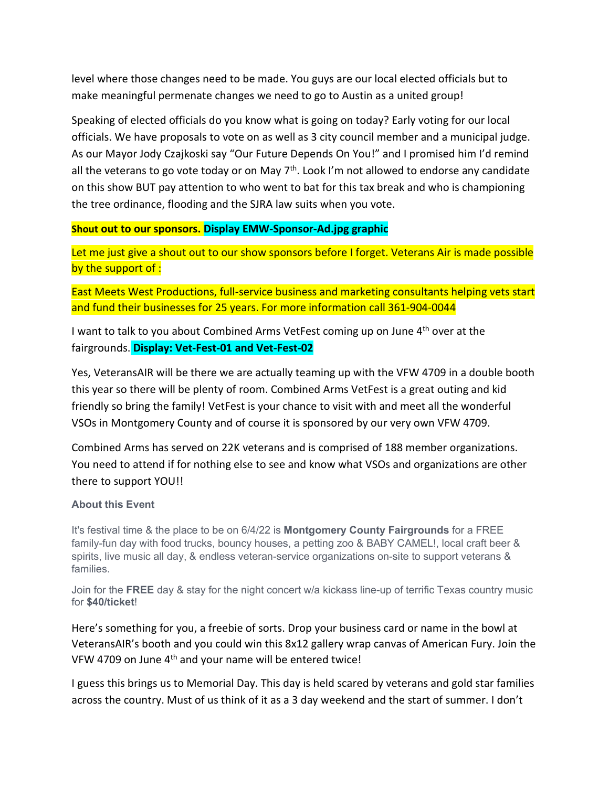level where those changes need to be made. You guys are our local elected officials but to make meaningful permenate changes we need to go to Austin as a united group!

Speaking of elected officials do you know what is going on today? Early voting for our local officials. We have proposals to vote on as well as 3 city council member and a municipal judge. As our Mayor Jody Czajkoski say "Our Future Depends On You!" and I promised him I'd remind all the veterans to go vote today or on May  $7<sup>th</sup>$ . Look I'm not allowed to endorse any candidate on this show BUT pay attention to who went to bat for this tax break and who is championing the tree ordinance, flooding and the SJRA law suits when you vote.

## **Shout out to our sponsors. Display EMW-Sponsor-Ad.jpg graphic**

Let me just give a shout out to our show sponsors before I forget. Veterans Air is made possible by the support of :

East Meets West Productions, full-service business and marketing consultants helping vets start and fund their businesses for 25 years. For more information call 361-904-0044

I want to talk to you about Combined Arms VetFest coming up on June 4<sup>th</sup> over at the fairgrounds. **Display: Vet-Fest-01 and Vet-Fest-02** 

Yes, VeteransAIR will be there we are actually teaming up with the VFW 4709 in a double booth this year so there will be plenty of room. Combined Arms VetFest is a great outing and kid friendly so bring the family! VetFest is your chance to visit with and meet all the wonderful VSOs in Montgomery County and of course it is sponsored by our very own VFW 4709.

Combined Arms has served on 22K veterans and is comprised of 188 member organizations. You need to attend if for nothing else to see and know what VSOs and organizations are other there to support YOU!!

## **About this Event**

It's festival time & the place to be on 6/4/22 is **Montgomery County Fairgrounds** for a FREE family-fun day with food trucks, bouncy houses, a petting zoo & BABY CAMEL!, local craft beer & spirits, live music all day, & endless veteran-service organizations on-site to support veterans & families.

Join for the **FREE** day & stay for the night concert w/a kickass line-up of terrific Texas country music for **\$40/ticket**!

Here's something for you, a freebie of sorts. Drop your business card or name in the bowl at VeteransAIR's booth and you could win this 8x12 gallery wrap canvas of American Fury. Join the VFW 4709 on June 4th and your name will be entered twice!

I guess this brings us to Memorial Day. This day is held scared by veterans and gold star families across the country. Must of us think of it as a 3 day weekend and the start of summer. I don't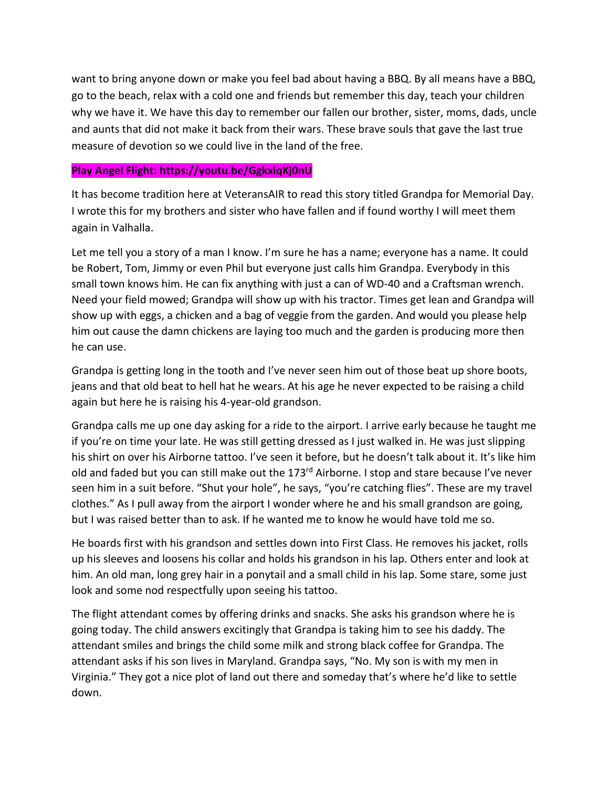want to bring anyone down or make you feel bad about having a BBQ. By all means have a BBQ, go to the beach, relax with a cold one and friends but remember this day, teach your children why we have it. We have this day to remember our fallen our brother, sister, moms, dads, uncle and aunts that did not make it back from their wars. These brave souls that gave the last true measure of devotion so we could live in the land of the free.

## **Play Angel Flight: https://youtu.be/GgkxiqKj0nU**

It has become tradition here at VeteransAIR to read this story titled Grandpa for Memorial Day. I wrote this for my brothers and sister who have fallen and if found worthy I will meet them again in Valhalla.

Let me tell you a story of a man I know. I'm sure he has a name; everyone has a name. It could be Robert, Tom, Jimmy or even Phil but everyone just calls him Grandpa. Everybody in this small town knows him. He can fix anything with just a can of WD-40 and a Craftsman wrench. Need your field mowed; Grandpa will show up with his tractor. Times get lean and Grandpa will show up with eggs, a chicken and a bag of veggie from the garden. And would you please help him out cause the damn chickens are laying too much and the garden is producing more then he can use.

Grandpa is getting long in the tooth and I've never seen him out of those beat up shore boots, jeans and that old beat to hell hat he wears. At his age he never expected to be raising a child again but here he is raising his 4-year-old grandson.

Grandpa calls me up one day asking for a ride to the airport. I arrive early because he taught me if you're on time your late. He was still getting dressed as I just walked in. He was just slipping his shirt on over his Airborne tattoo. I've seen it before, but he doesn't talk about it. It's like him old and faded but you can still make out the 173<sup>rd</sup> Airborne. I stop and stare because I've never seen him in a suit before. "Shut your hole", he says, "you're catching flies". These are my travel clothes." As I pull away from the airport I wonder where he and his small grandson are going, but I was raised better than to ask. If he wanted me to know he would have told me so.

He boards first with his grandson and settles down into First Class. He removes his jacket, rolls up his sleeves and loosens his collar and holds his grandson in his lap. Others enter and look at him. An old man, long grey hair in a ponytail and a small child in his lap. Some stare, some just look and some nod respectfully upon seeing his tattoo.

The flight attendant comes by offering drinks and snacks. She asks his grandson where he is going today. The child answers excitingly that Grandpa is taking him to see his daddy. The attendant smiles and brings the child some milk and strong black coffee for Grandpa. The attendant asks if his son lives in Maryland. Grandpa says, "No. My son is with my men in Virginia." They got a nice plot of land out there and someday that's where he'd like to settle down.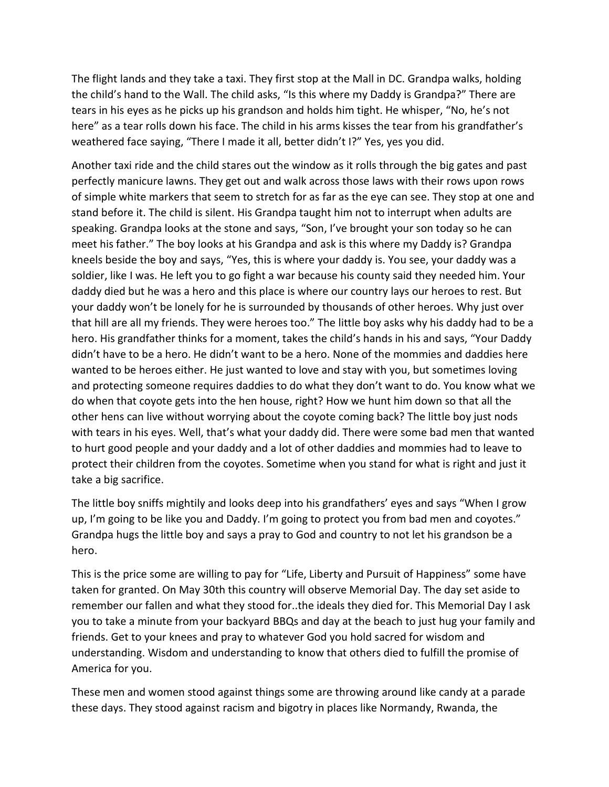The flight lands and they take a taxi. They first stop at the Mall in DC. Grandpa walks, holding the child's hand to the Wall. The child asks, "Is this where my Daddy is Grandpa?" There are tears in his eyes as he picks up his grandson and holds him tight. He whisper, "No, he's not here" as a tear rolls down his face. The child in his arms kisses the tear from his grandfather's weathered face saying, "There I made it all, better didn't I?" Yes, yes you did.

Another taxi ride and the child stares out the window as it rolls through the big gates and past perfectly manicure lawns. They get out and walk across those laws with their rows upon rows of simple white markers that seem to stretch for as far as the eye can see. They stop at one and stand before it. The child is silent. His Grandpa taught him not to interrupt when adults are speaking. Grandpa looks at the stone and says, "Son, I've brought your son today so he can meet his father." The boy looks at his Grandpa and ask is this where my Daddy is? Grandpa kneels beside the boy and says, "Yes, this is where your daddy is. You see, your daddy was a soldier, like I was. He left you to go fight a war because his county said they needed him. Your daddy died but he was a hero and this place is where our country lays our heroes to rest. But your daddy won't be lonely for he is surrounded by thousands of other heroes. Why just over that hill are all my friends. They were heroes too." The little boy asks why his daddy had to be a hero. His grandfather thinks for a moment, takes the child's hands in his and says, "Your Daddy didn't have to be a hero. He didn't want to be a hero. None of the mommies and daddies here wanted to be heroes either. He just wanted to love and stay with you, but sometimes loving and protecting someone requires daddies to do what they don't want to do. You know what we do when that coyote gets into the hen house, right? How we hunt him down so that all the other hens can live without worrying about the coyote coming back? The little boy just nods with tears in his eyes. Well, that's what your daddy did. There were some bad men that wanted to hurt good people and your daddy and a lot of other daddies and mommies had to leave to protect their children from the coyotes. Sometime when you stand for what is right and just it take a big sacrifice.

The little boy sniffs mightily and looks deep into his grandfathers' eyes and says "When I grow up, I'm going to be like you and Daddy. I'm going to protect you from bad men and coyotes." Grandpa hugs the little boy and says a pray to God and country to not let his grandson be a hero.

This is the price some are willing to pay for "Life, Liberty and Pursuit of Happiness" some have taken for granted. On May 30th this country will observe Memorial Day. The day set aside to remember our fallen and what they stood for..the ideals they died for. This Memorial Day I ask you to take a minute from your backyard BBQs and day at the beach to just hug your family and friends. Get to your knees and pray to whatever God you hold sacred for wisdom and understanding. Wisdom and understanding to know that others died to fulfill the promise of America for you.

These men and women stood against things some are throwing around like candy at a parade these days. They stood against racism and bigotry in places like Normandy, Rwanda, the